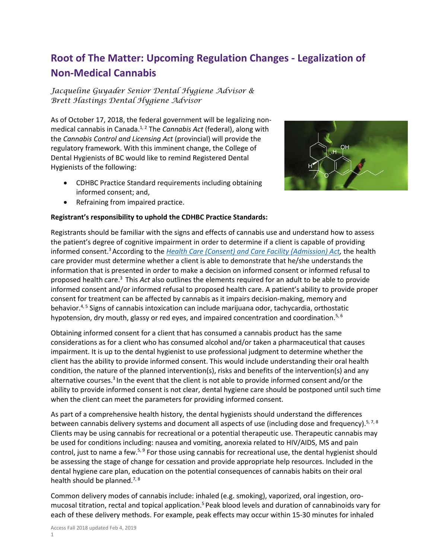## **Root of The Matter: Upcoming Regulation Changes - Legalization of Non-Medical Cannabis**

*Jacqueline Guyader Senior Dental Hygiene Advisor & Brett Hastings Dental Hygiene Advisor*

As of October 17, 2018, the federal government will be legalizing nonmedical cannabis in Canada.1, 2 The *Cannabis Act* (federal), along with the *Cannabis Control and Licensing Act* (provincial) will provide the regulatory framework. With this imminent change, the College of Dental Hygienists of BC would like to remind Registered Dental Hygienists of the following:

- CDHBC Practice Standard requirements including obtaining informed consent; and,
- 

• Refraining from impaired practice.

## **Registrant's responsibility to uphold the CDHBC Practice Standards:**

Registrants should be familiar with the signs and effects of cannabis use and understand how to assess the patient's degree of cognitive impairment in order to determine if a client is capable of providing informed consent. <sup>3</sup>According to the *[Health Care \(Consent\) and Care Facility \(Admission\) Act,](http://www.bclaws.ca/civix/document/id/complete/statreg/96181_01#section4)* the health care provider must determine whether a client is able to demonstrate that he/she understands the information that is presented in order to make a decision on informed consent or informed refusal to proposed health care.<sup>3</sup> This *Act* also outlines the elements required for an adult to be able to provide informed consent and/or informed refusal to proposed health care. A patient's ability to provide proper consent for treatment can be affected by cannabis as it impairs decision-making, memory and behavior. $4.5$  Signs of cannabis intoxication can include marijuana odor, tachycardia, orthostatic hypotension, dry mouth, glassy or red eyes, and impaired concentration and coordination.<sup>5, 6</sup>

Obtaining informed consent for a client that has consumed a cannabis product has the same considerations as for a client who has consumed alcohol and/or taken a pharmaceutical that causes impairment. It is up to the dental hygienist to use professional judgment to determine whether the client has the ability to provide informed consent. This would include understanding their oral health condition, the nature of the planned intervention(s), risks and benefits of the intervention(s) and any alternative courses.<sup>3</sup> In the event that the client is not able to provide informed consent and/or the ability to provide informed consent is not clear, dental hygiene care should be postponed until such time when the client can meet the parameters for providing informed consent.

As part of a comprehensive health history, the dental hygienists should understand the differences between cannabis delivery systems and document all aspects of use (including dose and frequency).<sup>5, 7, 8</sup> Clients may be using cannabis for recreational or a potential therapeutic use. Therapeutic cannabis may be used for conditions including: nausea and vomiting, anorexia related to HIV/AIDS, MS and pain control, just to name a few.<sup>5, 9</sup> For those using cannabis for recreational use, the dental hygienist should be assessing the stage of change for cessation and provide appropriate help resources. Included in the dental hygiene care plan, education on the potential consequences of cannabis habits on their oral health should be planned.<sup>7, 8</sup>

Common delivery modes of cannabis include: inhaled (e.g. smoking), vaporized, oral ingestion, oromucosal titration, rectal and topical application.<sup>5</sup> Peak blood levels and duration of cannabinoids vary for each of these delivery methods. For example, peak effects may occur within 15-30 minutes for inhaled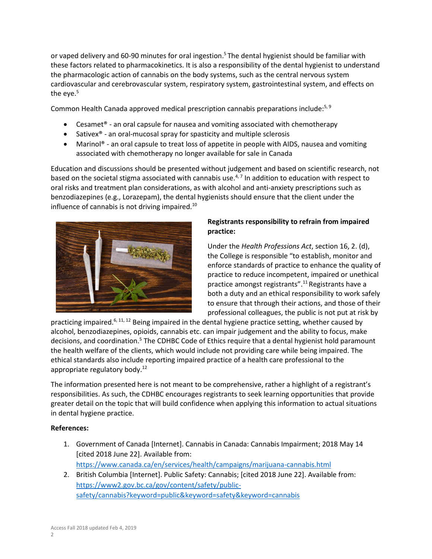or vaped delivery and 60-90 minutes for oral ingestion.<sup>5</sup> The dental hygienist should be familiar with these factors related to pharmacokinetics. It is also a responsibility of the dental hygienist to understand the pharmacologic action of cannabis on the body systems, such as the central nervous system cardiovascular and cerebrovascular system, respiratory system, gastrointestinal system, and effects on the eye. $5$ 

Common Health Canada approved medical prescription cannabis preparations include:<sup>5, 9</sup>

- Cesamet® an oral capsule for nausea and vomiting associated with chemotherapy
- Sativex® an oral-mucosal spray for spasticity and multiple sclerosis
- Marinol<sup>®</sup> an oral capsule to treat loss of appetite in people with AIDS, nausea and vomiting associated with chemotherapy no longer available for sale in Canada

Education and discussions should be presented without judgement and based on scientific research, not based on the societal stigma associated with cannabis use.<sup>4,7</sup> In addition to education with respect to oral risks and treatment plan considerations, as with alcohol and anti-anxiety prescriptions such as benzodiazepines (e.g., Lorazepam), the dental hygienists should ensure that the client under the influence of cannabis is not driving impaired.<sup>10</sup>



## **Registrants responsibility to refrain from impaired practice:**

Under the *Health Professions Act*, section 16, 2. (d), the College is responsible "to establish, monitor and enforce standards of practice to enhance the quality of practice to reduce incompetent, impaired or unethical practice amongst registrants".<sup>11</sup> Registrants have a both a duty and an ethical responsibility to work safely to ensure that through their actions, and those of their professional colleagues, the public is not put at risk by

practicing impaired.<sup>6, 11, 12</sup> Being impaired in the dental hygiene practice setting, whether caused by alcohol, benzodiazepines, opioids, cannabis etc. can impair judgement and the ability to focus, make decisions, and coordination.<sup>5</sup> The CDHBC Code of Ethics require that a dental hygienist hold paramount the health welfare of the clients, which would include not providing care while being impaired. The ethical standards also include reporting impaired practice of a health care professional to the appropriate regulatory body.<sup>12</sup>

The information presented here is not meant to be comprehensive, rather a highlight of a registrant's responsibilities. As such, the CDHBC encourages registrants to seek learning opportunities that provide greater detail on the topic that will build confidence when applying this information to actual situations in dental hygiene practice.

## **References:**

- 1. Government of Canada [Internet]. Cannabis in Canada: Cannabis Impairment; 2018 May 14 [cited 2018 June 22]. Available from: <https://www.canada.ca/en/services/health/campaigns/marijuana-cannabis.html>
- 2. British Columbia [Internet]. Public Safety: Cannabis; [cited 2018 June 22]. Available from: [https://www2.gov.bc.ca/gov/content/safety/public](https://www2.gov.bc.ca/gov/content/safety/public-safety/cannabis?keyword=public&keyword=safety&keyword=cannabis)[safety/cannabis?keyword=public&keyword=safety&keyword=cannabis](https://www2.gov.bc.ca/gov/content/safety/public-safety/cannabis?keyword=public&keyword=safety&keyword=cannabis)